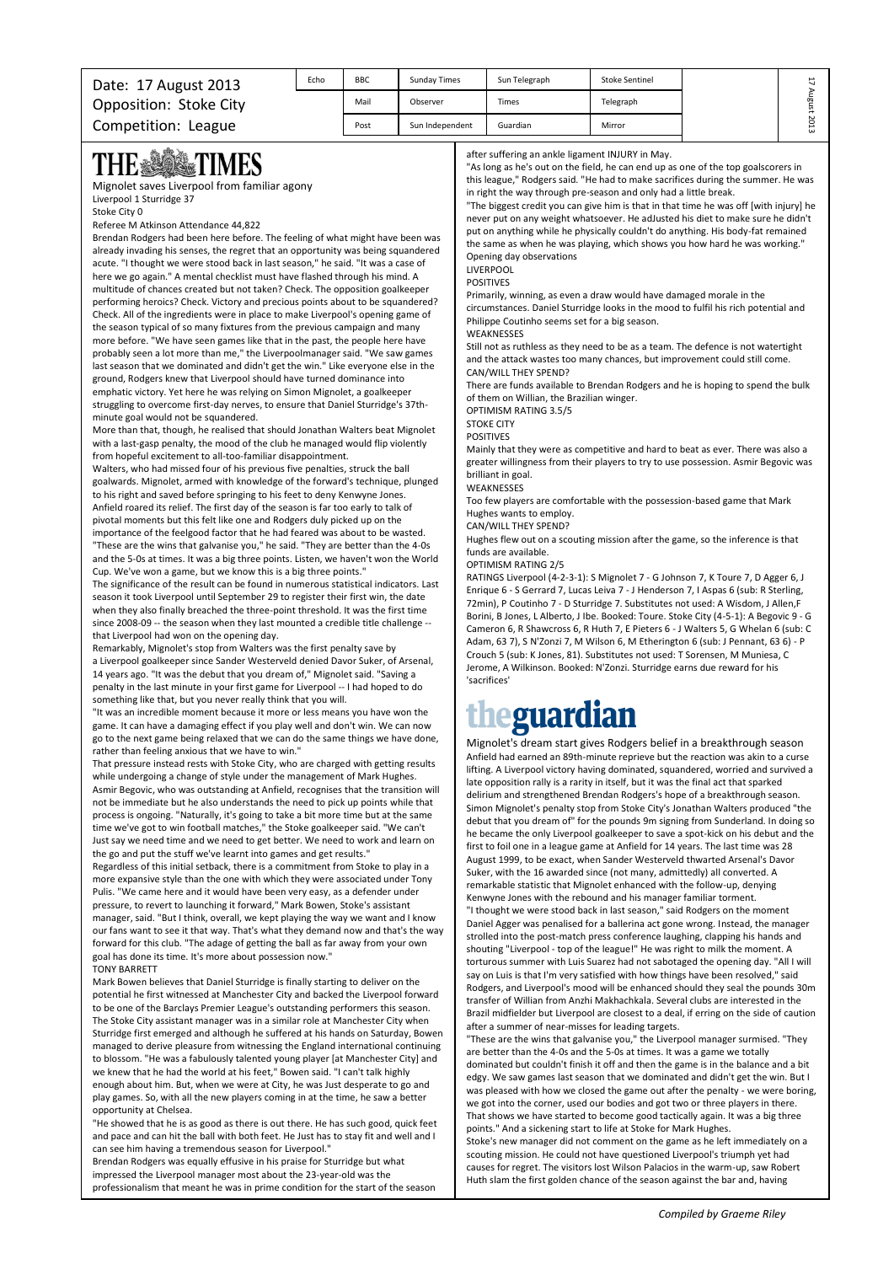| Date: 17 August 2013          | Echo | <b>BBC</b> | Sunday Times    | Sun Telegraph | <b>Stoke Sentinel</b> | ⊢    |
|-------------------------------|------|------------|-----------------|---------------|-----------------------|------|
| <b>Opposition: Stoke City</b> |      | Mail       | Observer        | <b>Times</b>  | Telegraph             | ത    |
| Competition: League           |      | Post       | Sun Independent | Guardian      | Mirror                | 2013 |

## **THE SECTIMES**

Mignolet saves Liverpool from familiar agony Liverpool 1 Sturridge 37

Stoke City 0

Referee M Atkinson Attendance 44,822

Brendan Rodgers had been here before. The feeling of what might have been was already invading his senses, the regret that an opportunity was being squandered acute. "I thought we were stood back in last season," he said. "It was a case of here we go again." A mental checklist must have flashed through his mind. A multitude of chances created but not taken? Check. The opposition goalkeeper performing heroics? Check. Victory and precious points about to be squandered? Check. All of the ingredients were in place to make Liverpool's opening game of the season typical of so many fixtures from the previous campaign and many more before. "We have seen games like that in the past, the people here have probably seen a lot more than me," the Liverpoolmanager said. "We saw games last season that we dominated and didn't get the win." Like everyone else in the ground, Rodgers knew that Liverpool should have turned dominance into emphatic victory. Yet here he was relying on Simon Mignolet, a goalkeeper struggling to overcome first-day nerves, to ensure that Daniel Sturridge's 37thminute goal would not be squandered.

More than that, though, he realised that should Jonathan Walters beat Mignolet with a last-gasp penalty, the mood of the club he managed would flip violently from hopeful excitement to all-too-familiar disappointment.

Walters, who had missed four of his previous five penalties, struck the ball goalwards. Mignolet, armed with knowledge of the forward's technique, plunged to his right and saved before springing to his feet to deny Kenwyne Jones. Anfield roared its relief. The first day of the season is far too early to talk of pivotal moments but this felt like one and Rodgers duly picked up on the importance of the feelgood factor that he had feared was about to be wasted.

"These are the wins that galvanise you," he said. "They are better than the 4-0s and the 5-0s at times. It was a big three points. Listen, we haven't won the World Cup. We've won a game, but we know this is a big three points."

The significance of the result can be found in numerous statistical indicators. Last season it took Liverpool until September 29 to register their first win, the date when they also finally breached the three-point threshold. It was the first time since 2008-09 -- the season when they last mounted a credible title challenge that Liverpool had won on the opening day.

Remarkably, Mignolet's stop from Walters was the first penalty save by a Liverpool goalkeeper since Sander Westerveld denied Davor Suker, of Arsenal, 14 years ago. "It was the debut that you dream of," Mignolet said. "Saving a penalty in the last minute in your first game for Liverpool -- I had hoped to do something like that, but you never really think that you will.

"It was an incredible moment because it more or less means you have won the game. It can have a damaging effect if you play well and don't win. We can now go to the next game being relaxed that we can do the same things we have done, rather than feeling anxious that we have to win."

That pressure instead rests with Stoke City, who are charged with getting results while undergoing a change of style under the management of Mark Hughes. Asmir Begovic, who was outstanding at Anfield, recognises that the transition will not be immediate but he also understands the need to pick up points while that process is ongoing. "Naturally, it's going to take a bit more time but at the same time we've got to win football matches," the Stoke goalkeeper said. "We can't Just say we need time and we need to get better. We need to work and learn on the go and put the stuff we've learnt into games and get results."

Regardless of this initial setback, there is a commitment from Stoke to play in a more expansive style than the one with which they were associated under Tony Pulis. "We came here and it would have been very easy, as a defender under pressure, to revert to launching it forward," Mark Bowen, Stoke's assistant manager, said. "But I think, overall, we kept playing the way we want and I know our fans want to see it that way. That's what they demand now and that's the way forward for this club. "The adage of getting the ball as far away from your own goal has done its time. It's more about possession now." TONY BARRETT

Mark Bowen believes that Daniel Sturridge is finally starting to deliver on the potential he first witnessed at Manchester City and backed the Liverpool forward to be one of the Barclays Premier League's outstanding performers this season. The Stoke City assistant manager was in a similar role at Manchester City when Sturridge first emerged and although he suffered at his hands on Saturday, Bowen managed to derive pleasure from witnessing the England international continuing to blossom. "He was a fabulously talented young player [at Manchester City] and we knew that he had the world at his feet." Bowen said. "I can't talk highly enough about him. But, when we were at City, he was Just desperate to go and play games. So, with all the new players coming in at the time, he saw a better opportunity at Chelsea.

"He showed that he is as good as there is out there. He has such good, quick feet and pace and can hit the ball with both feet. He Just has to stay fit and well and I can see him having a tremendous season for Liverpool."

Brendan Rodgers was equally effusive in his praise for Sturridge but what impressed the Liverpool manager most about the 23-year-old was the professionalism that meant he was in prime condition for the start of the season

## after suffering an ankle ligament INJURY in May.

"As long as he's out on the field, he can end up as one of the top goalscorers in this league," Rodgers said. "He had to make sacrifices during the summer. He was in right the way through pre-season and only had a little break.

"The biggest credit you can give him is that in that time he was off [with injury] he never put on any weight whatsoever. He adJusted his diet to make sure he didn't put on anything while he physically couldn't do anything. His body-fat remained the same as when he was playing, which shows you how hard he was working. Opening day observations

LIVERPOOL POSITIVES

Primarily, winning, as even a draw would have damaged morale in the

circumstances. Daniel Sturridge looks in the mood to fulfil his rich potential and Philippe Coutinho seems set for a big season.

**WEAKNESSES** 

Still not as ruthless as they need to be as a team. The defence is not watertight and the attack wastes too many chances, but improvement could still come. CAN/WILL THEY SPEND?

There are funds available to Brendan Rodgers and he is hoping to spend the bulk of them on Willian, the Brazilian winger.

OPTIMISM RATING 3.5/5

STOKE CITY

POSITIVES

Mainly that they were as competitive and hard to beat as ever. There was also a greater willingness from their players to try to use possession. Asmir Begovic was brilliant in goal.

WEAKNESSES

Too few players are comfortable with the possession-based game that Mark Hughes wants to employ.

CAN/WILL THEY SPEND?

Hughes flew out on a scouting mission after the game, so the inference is that funds are available.

OPTIMISM RATING 2/5

RATINGS Liverpool (4-2-3-1): S Mignolet 7 - G Johnson 7, K Toure 7, D Agger 6, J Enrique 6 - S Gerrard 7, Lucas Leiva 7 - J Henderson 7, I Aspas 6 (sub: R Sterling, 72min), P Coutinho 7 - D Sturridge 7. Substitutes not used: A Wisdom, J Allen,F Borini, B Jones, L Alberto, J Ibe. Booked: Toure. Stoke City (4-5-1): A Begovic 9 - G Cameron 6, R Shawcross 6, R Huth 7, E Pieters 6 - J Walters 5, G Whelan 6 (sub: C Adam, 63 7), S N'Zonzi 7, M Wilson 6, M Etherington 6 (sub: J Pennant, 63 6) - P Crouch 5 (sub: K Jones, 81). Substitutes not used: T Sorensen, M Muniesa, C Jerome, A Wilkinson. Booked: N'Zonzi. Sturridge earns due reward for his 'sacrifices'

# eguardian

Mignolet's dream start gives Rodgers belief in a breakthrough season Anfield had earned an 89th-minute reprieve but the reaction was akin to a curse lifting. A Liverpool victory having dominated, squandered, worried and survived a late opposition rally is a rarity in itself, but it was the final act that sparked delirium and strengthened Brendan Rodgers's hope of a breakthrough season. Simon Mignolet's penalty stop from Stoke City's Jonathan Walters produced "the debut that you dream of" for the pounds 9m signing from Sunderland. In doing so he became the only Liverpool goalkeeper to save a spot-kick on his debut and the first to foil one in a league game at Anfield for 14 years. The last time was 28 August 1999, to be exact, when Sander Westerveld thwarted Arsenal's Davor Suker, with the 16 awarded since (not many, admittedly) all converted. A remarkable statistic that Mignolet enhanced with the follow-up, denying Kenwyne Jones with the rebound and his manager familiar torment.

"I thought we were stood back in last season," said Rodgers on the moment Daniel Agger was penalised for a ballerina act gone wrong. Instead, the manager strolled into the post-match press conference laughing, clapping his hands and shouting "Liverpool - top of the league!" He was right to milk the moment. A torturous summer with Luis Suarez had not sabotaged the opening day. "All I will say on Luis is that I'm very satisfied with how things have been resolved," said Rodgers, and Liverpool's mood will be enhanced should they seal the pounds 30m transfer of Willian from Anzhi Makhachkala. Several clubs are interested in the Brazil midfielder but Liverpool are closest to a deal, if erring on the side of caution after a summer of near-misses for leading targets.

"These are the wins that galvanise you," the Liverpool manager surmised. "They are better than the 4-0s and the 5-0s at times. It was a game we totally dominated but couldn't finish it off and then the game is in the balance and a bit edgy. We saw games last season that we dominated and didn't get the win. But I was pleased with how we closed the game out after the penalty - we were boring, we got into the corner, used our bodies and got two or three players in there. That shows we have started to become good tactically again. It was a big three points." And a sickening start to life at Stoke for Mark Hughes. Stoke's new manager did not comment on the game as he left immediately on a scouting mission. He could not have questioned Liverpool's triumph yet had causes for regret. The visitors lost Wilson Palacios in the warm-up, saw Robert Huth slam the first golden chance of the season against the bar and, having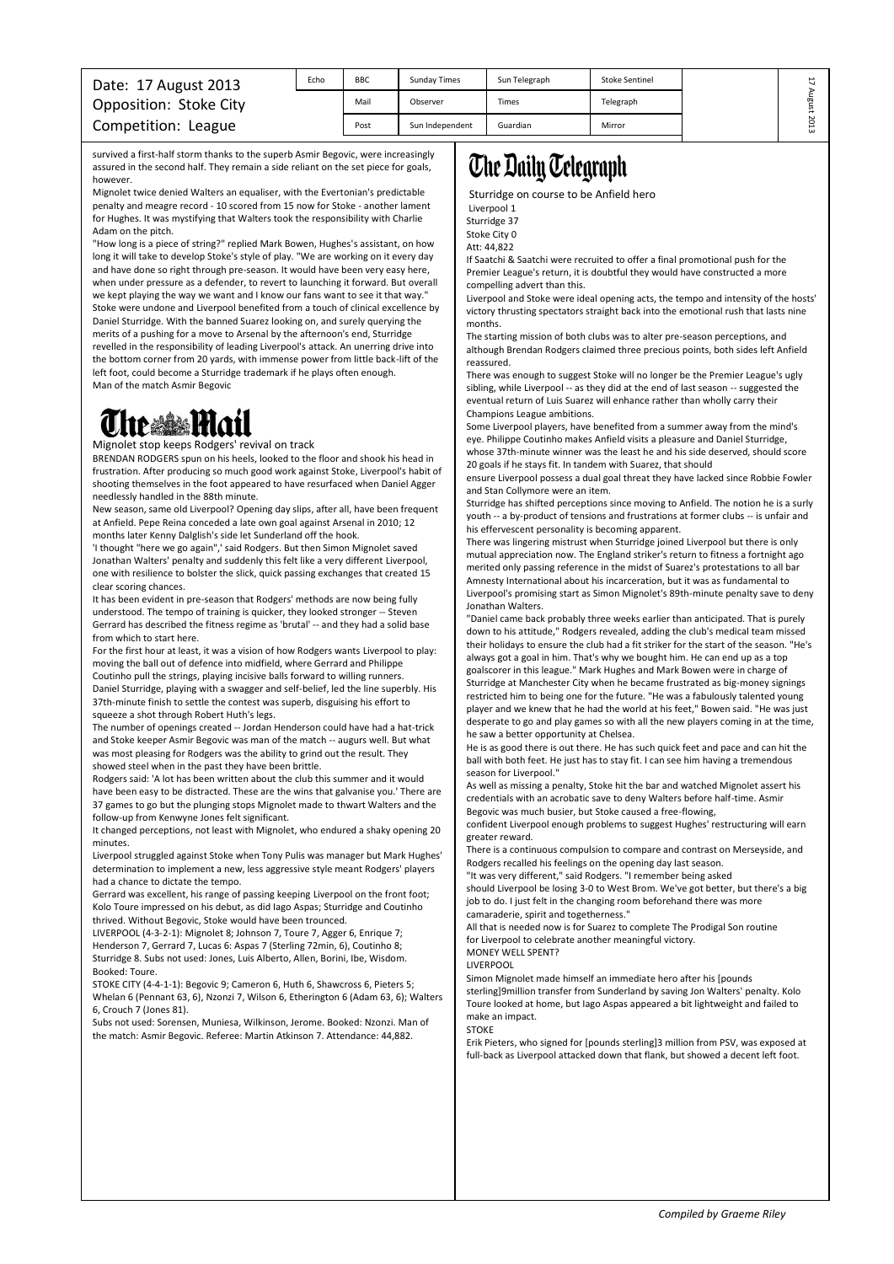| Date: 17 August 2013          | Echo | <b>BBC</b> | Sunday Times    | Sun Telegraph | <b>Stoke Sentinel</b> |   |
|-------------------------------|------|------------|-----------------|---------------|-----------------------|---|
| <b>Opposition: Stoke City</b> |      | Mail       | Observer        | <b>Times</b>  | Telegraph             |   |
| Competition: League           |      | Post       | Sun Independent | Guardian      | Mirror                | ದ |

survived a first-half storm thanks to the superb Asmir Begovic, were increasingly assured in the second half. They remain a side reliant on the set piece for goals, however.

Mignolet twice denied Walters an equaliser, with the Evertonian's predictable penalty and meagre record - 10 scored from 15 now for Stoke - another lament for Hughes. It was mystifying that Walters took the responsibility with Charlie Adam on the pitch.

"How long is a piece of string?" replied Mark Bowen, Hughes's assistant, on how long it will take to develop Stoke's style of play. "We are working on it every day and have done so right through pre-season. It would have been very easy here, when under pressure as a defender, to revert to launching it forward. But overall we kept playing the way we want and I know our fans want to see it that way." Stoke were undone and Liverpool benefited from a touch of clinical excellence by Daniel Sturridge. With the banned Suarez looking on, and surely querying the merits of a pushing for a move to Arsenal by the afternoon's end, Sturridge revelled in the responsibility of leading Liverpool's attack. An unerring drive into the bottom corner from 20 yards, with immense power from little back-lift of the left foot, could become a Sturridge trademark if he plays often enough. Man of the match Asmir Begovic

# The **Mail**

Mignolet stop keeps Rodgers' revival on track

BRENDAN RODGERS spun on his heels, looked to the floor and shook his head in frustration. After producing so much good work against Stoke, Liverpool's habit of shooting themselves in the foot appeared to have resurfaced when Daniel Agger needlessly handled in the 88th minute.

New season, same old Liverpool? Opening day slips, after all, have been frequent at Anfield. Pepe Reina conceded a late own goal against Arsenal in 2010; 12 months later Kenny Dalglish's side let Sunderland off the hook.

'I thought "here we go again",' said Rodgers. But then Simon Mignolet saved Jonathan Walters' penalty and suddenly this felt like a very different Liverpool, one with resilience to bolster the slick, quick passing exchanges that created 15 clear scoring chances.

It has been evident in pre-season that Rodgers' methods are now being fully understood. The tempo of training is quicker, they looked stronger -- Steven Gerrard has described the fitness regime as 'brutal' -- and they had a solid base from which to start here.

For the first hour at least, it was a vision of how Rodgers wants Liverpool to play: moving the ball out of defence into midfield, where Gerrard and Philippe Coutinho pull the strings, playing incisive balls forward to willing runners. Daniel Sturridge, playing with a swagger and self-belief, led the line superbly. His 37th-minute finish to settle the contest was superb, disguising his effort to squeeze a shot through Robert Huth's legs.

The number of openings created -- Jordan Henderson could have had a hat-trick and Stoke keeper Asmir Begovic was man of the match -- augurs well. But what was most pleasing for Rodgers was the ability to grind out the result. They showed steel when in the past they have been brittle.

Rodgers said: 'A lot has been written about the club this summer and it would have been easy to be distracted. These are the wins that galvanise you.' There are 37 games to go but the plunging stops Mignolet made to thwart Walters and the follow-up from Kenwyne Jones felt significant.

It changed perceptions, not least with Mignolet, who endured a shaky opening 20 minutes.

Liverpool struggled against Stoke when Tony Pulis was manager but Mark Hughes' determination to implement a new, less aggressive style meant Rodgers' players had a chance to dictate the tempo.

Gerrard was excellent, his range of passing keeping Liverpool on the front foot; Kolo Toure impressed on his debut, as did Iago Aspas; Sturridge and Coutinho thrived. Without Begovic, Stoke would have been trounced.

LIVERPOOL (4-3-2-1): Mignolet 8; Johnson 7, Toure 7, Agger 6, Enrique 7; Henderson 7, Gerrard 7, Lucas 6: Aspas 7 (Sterling 72min, 6), Coutinho 8; Sturridge 8. Subs not used: Jones, Luis Alberto, Allen, Borini, Ibe, Wisdom. Booked: Toure.

STOKE CITY (4-4-1-1): Begovic 9; Cameron 6, Huth 6, Shawcross 6, Pieters 5; Whelan 6 (Pennant 63, 6), Nzonzi 7, Wilson 6, Etherington 6 (Adam 63, 6); Walters 6, Crouch 7 (Jones 81).

Subs not used: Sorensen, Muniesa, Wilkinson, Jerome. Booked: Nzonzi. Man of the match: Asmir Begovic. Referee: Martin Atkinson 7. Attendance: 44,882.

# **The Daily Telegraph**

Sturridge on course to be Anfield hero

Liverpool 1 Sturridge 37

Stoke City 0

Att: 44,822

If Saatchi & Saatchi were recruited to offer a final promotional push for the Premier League's return, it is doubtful they would have constructed a more compelling advert than this.

Liverpool and Stoke were ideal opening acts, the tempo and intensity of the hosts' victory thrusting spectators straight back into the emotional rush that lasts nine months.

The starting mission of both clubs was to alter pre-season perceptions, and although Brendan Rodgers claimed three precious points, both sides left Anfield reassured.

There was enough to suggest Stoke will no longer be the Premier League's ugly sibling, while Liverpool -- as they did at the end of last season -- suggested the eventual return of Luis Suarez will enhance rather than wholly carry their Champions League ambitions.

Some Liverpool players, have benefited from a summer away from the mind's eye. Philippe Coutinho makes Anfield visits a pleasure and Daniel Sturridge, whose 37th-minute winner was the least he and his side deserved, should score 20 goals if he stays fit. In tandem with Suarez, that should

ensure Liverpool possess a dual goal threat they have lacked since Robbie Fowler and Stan Collymore were an item.

Sturridge has shifted perceptions since moving to Anfield. The notion he is a surly youth -- a by-product of tensions and frustrations at former clubs -- is unfair and his effervescent personality is becoming apparent.

There was lingering mistrust when Sturridge joined Liverpool but there is only mutual appreciation now. The England striker's return to fitness a fortnight ago merited only passing reference in the midst of Suarez's protestations to all bar Amnesty International about his incarceration, but it was as fundamental to Liverpool's promising start as Simon Mignolet's 89th-minute penalty save to deny Jonathan Walters.

"Daniel came back probably three weeks earlier than anticipated. That is purely down to his attitude," Rodgers revealed, adding the club's medical team missed their holidays to ensure the club had a fit striker for the start of the season. "He's always got a goal in him. That's why we bought him. He can end up as a top goalscorer in this league." Mark Hughes and Mark Bowen were in charge of Sturridge at Manchester City when he became frustrated as big-money signings restricted him to being one for the future. "He was a fabulously talented young player and we knew that he had the world at his feet," Bowen said. "He was just desperate to go and play games so with all the new players coming in at the time, he saw a better opportunity at Chelsea.

He is as good there is out there. He has such quick feet and pace and can hit the ball with both feet. He just has to stay fit. I can see him having a tremendous season for Liverpool."

As well as missing a penalty, Stoke hit the bar and watched Mignolet assert his credentials with an acrobatic save to deny Walters before half-time. Asmir Begovic was much busier, but Stoke caused a free-flowing,

confident Liverpool enough problems to suggest Hughes' restructuring will earn greater reward.

There is a continuous compulsion to compare and contrast on Merseyside, and Rodgers recalled his feelings on the opening day last season.

"It was very different," said Rodgers. "I remember being asked

should Liverpool be losing 3-0 to West Brom. We've got better, but there's a big job to do. I just felt in the changing room beforehand there was more camaraderie, spirit and togetherness."

All that is needed now is for Suarez to complete The Prodigal Son routine for Liverpool to celebrate another meaningful victory.

## MONEY WELL SPENT?

**LIVERPOOL** 

Simon Mignolet made himself an immediate hero after his [pounds sterling]9million transfer from Sunderland by saving Jon Walters' penalty. Kolo Toure looked at home, but Iago Aspas appeared a bit lightweight and failed to make an impact.

STOKE

Erik Pieters, who signed for [pounds sterling]3 million from PSV, was exposed at full-back as Liverpool attacked down that flank, but showed a decent left foot.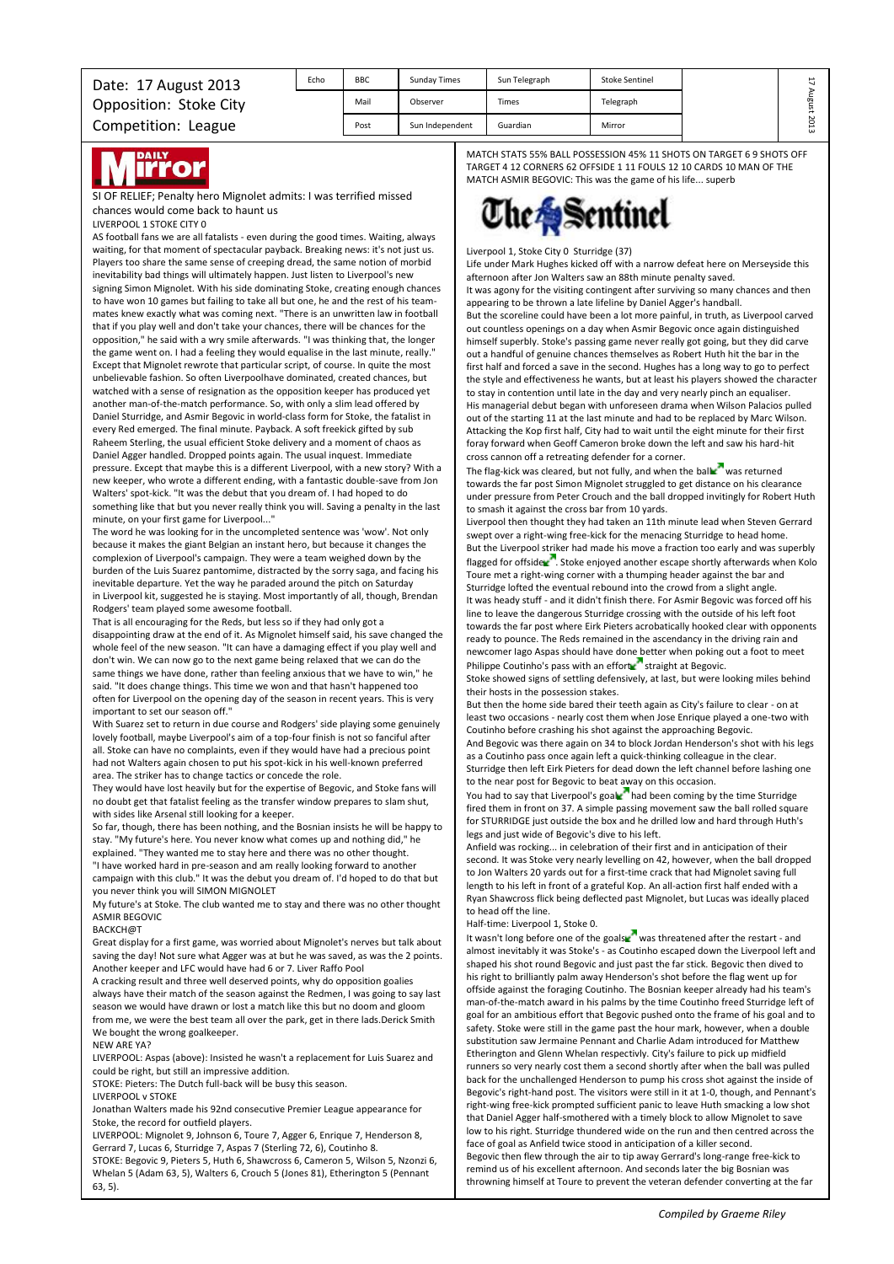| Date: 17 August 2013          | Echo | <b>BBC</b> | Sunday Times    | Sun Telegraph | <b>Stoke Sentinel</b> | $\overline{\phantom{a}}$ |
|-------------------------------|------|------------|-----------------|---------------|-----------------------|--------------------------|
| <b>Opposition: Stoke City</b> |      | Mail       | Observer        | <b>Times</b>  | Telegraph             |                          |
| Competition: League           |      | Post       | Sun Independent | Guardian      | Mirror                | 2013                     |



SI OF RELIEF; Penalty hero Mignolet admits: I was terrified missed chances would come back to haunt us

LIVERPOOL 1 STOKE CITY 0

AS football fans we are all fatalists - even during the good times. Waiting, always waiting, for that moment of spectacular payback. Breaking news: it's not just us. Players too share the same sense of creeping dread, the same notion of morbid inevitability bad things will ultimately happen. Just listen to Liverpool's new signing Simon Mignolet. With his side dominating Stoke, creating enough chances to have won 10 games but failing to take all but one, he and the rest of his teammates knew exactly what was coming next. "There is an unwritten law in football that if you play well and don't take your chances, there will be chances for the opposition," he said with a wry smile afterwards. "I was thinking that, the longer the game went on. I had a feeling they would equalise in the last minute, really." Except that Mignolet rewrote that particular script, of course. In quite the most unbelievable fashion. So often Liverpoolhave dominated, created chances, but watched with a sense of resignation as the opposition keeper has produced yet another man-of-the-match performance. So, with only a slim lead offered by Daniel Sturridge, and Asmir Begovic in world-class form for Stoke, the fatalist in every Red emerged. The final minute. Payback. A soft freekick gifted by sub Raheem Sterling, the usual efficient Stoke delivery and a moment of chaos as Daniel Agger handled. Dropped points again. The usual inquest. Immediate pressure. Except that maybe this is a different Liverpool, with a new story? With a new keeper, who wrote a different ending, with a fantastic double-save from Jon Walters' spot-kick. "It was the debut that you dream of. I had hoped to do something like that but you never really think you will. Saving a penalty in the last minute, on your first game for Liverpool..."

The word he was looking for in the uncompleted sentence was 'wow'. Not only because it makes the giant Belgian an instant hero, but because it changes the complexion of Liverpool's campaign. They were a team weighed down by the burden of the Luis Suarez pantomime, distracted by the sorry saga, and facing his inevitable departure. Yet the way he paraded around the pitch on Saturday in Liverpool kit, suggested he is staying. Most importantly of all, though, Brendan Rodgers' team played some awesome football.

That is all encouraging for the Reds, but less so if they had only got a disappointing draw at the end of it. As Mignolet himself said, his save changed the whole feel of the new season. "It can have a damaging effect if you play well and don't win. We can now go to the next game being relaxed that we can do the same things we have done, rather than feeling anxious that we have to win," he said. "It does change things. This time we won and that hasn't happened too often for Liverpool on the opening day of the season in recent years. This is very important to set our season off."

With Suarez set to return in due course and Rodgers' side playing some genuinely lovely football, maybe Liverpool's aim of a top-four finish is not so fanciful after all. Stoke can have no complaints, even if they would have had a precious point had not Walters again chosen to put his spot-kick in his well-known preferred area. The striker has to change tactics or concede the role.

They would have lost heavily but for the expertise of Begovic, and Stoke fans will no doubt get that fatalist feeling as the transfer window prepares to slam shut, with sides like Arsenal still looking for a keeper.

So far, though, there has been nothing, and the Bosnian insists he will be happy to stay. "My future's here. You never know what comes up and nothing did," he explained. "They wanted me to stay here and there was no other thought. "I have worked hard in pre-season and am really looking forward to another campaign with this club." It was the debut you dream of. I'd hoped to do that but

you never think you will SIMON MIGNOLET My future's at Stoke. The club wanted me to stay and there was no other thought ASMIR BEGOVIC

## BACKCH@T

Great display for a first game, was worried about Mignolet's nerves but talk about saving the day! Not sure what Agger was at but he was saved, as was the 2 points. Another keeper and LFC would have had 6 or 7. Liver Raffo Pool

A cracking result and three well deserved points, why do opposition goalies always have their match of the season against the Redmen, I was going to say last season we would have drawn or lost a match like this but no doom and gloom from me, we were the best team all over the park, get in there lads.Derick Smith We bought the wrong goalkeeper.

NEW ARE YA?

LIVERPOOL: Aspas (above): Insisted he wasn't a replacement for Luis Suarez and could be right, but still an impressive addition.

STOKE: Pieters: The Dutch full-back will be busy this season.

LIVERPOOL v STOKE

Jonathan Walters made his 92nd consecutive Premier League appearance for Stoke, the record for outfield players.

LIVERPOOL: Mignolet 9, Johnson 6, Toure 7, Agger 6, Enrique 7, Henderson 8,

Gerrard 7, Lucas 6, Sturridge 7, Aspas 7 (Sterling 72, 6), Coutinho 8. STOKE: Begovic 9, Pieters 5, Huth 6, Shawcross 6, Cameron 5, Wilson 5, Nzonzi 6, Whelan 5 (Adam 63, 5), Walters 6, Crouch 5 (Jones 81), Etherington 5 (Pennant 63, 5).

MATCH STATS 55% BALL POSSESSION 45% 11 SHOTS ON TARGET 6 9 SHOTS OFF TARGET 4 12 CORNERS 62 OFFSIDE 1 11 FOULS 12 10 CARDS 10 MAN OF THE MATCH ASMIR BEGOVIC: This was the game of his life... superb



Liverpool 1, Stoke City 0 Sturridge (37)

Life under Mark Hughes kicked off with a narrow defeat here on Merseyside this afternoon after Jon Walters saw an 88th minute penalty saved.

It was agony for the visiting contingent after surviving so many chances and then appearing to be thrown a late lifeline by Daniel Agger's handball.

But the scoreline could have been a lot more painful, in truth, as Liverpool carved out countless openings on a day when Asmir Begovic once again distinguished himself superbly. Stoke's passing game never really got going, but they did carve out a handful of genuine chances themselves as Robert Huth hit the bar in the first half and forced a save in the second. Hughes has a long way to go to perfect the style and effectiveness he wants, but at least his players showed the character to stay in contention until late in the day and very nearly pinch an equaliser. His managerial debut began with unforeseen drama when Wilson Palacios pulled out of the starting 11 at the last minute and had to be replaced by Marc Wilson. Attacking the Kop first half, City had to wait until the eight minute for their first foray forward when Geoff Cameron broke down the left and saw his hard-hit cross cannon off a retreating defender for a corner.

The flag-kick was cleared, but not fully, and when the [ball](http://www.thisisstaffordshire.co.uk/time-report-Liverpool-1-Stoke-City-0/story-19673134-detail/story.html) was returned towards the far post Simon Mignolet struggled to get distance on his clearance under pressure from Peter Crouch and the ball dropped invitingly for Robert Huth to smash it against the cross bar from 10 yards.

Liverpool then thought they had taken an 11th minute lead when Steven Gerrard swept over a right-wing free-kick for the menacing Sturridge to head home. But the Liverpool striker had made his move a fraction too early and was superbly

flagged for [offside](http://www.thisisstaffordshire.co.uk/time-report-Liverpool-1-Stoke-City-0/story-19673134-detail/story.html) ... Stoke enjoyed another escape shortly afterwards when Kolo Toure met a right-wing corner with a thumping header against the bar and Sturridge lofted the eventual rebound into the crowd from a slight angle. It was heady stuff - and it didn't finish there. For Asmir Begovic was forced off his line to leave the dangerous Sturridge crossing with the outside of his left foot towards the far post where Eirk Pieters acrobatically hooked clear with opponents ready to pounce. The Reds remained in the ascendancy in the driving rain and newcomer Iago Aspas should have done better when poking out a foot to meet Philippe Coutinho's pass with an [effort](http://www.thisisstaffordshire.co.uk/time-report-Liverpool-1-Stoke-City-0/story-19673134-detail/story.html) straight at Begovic.

Stoke showed signs of settling defensively, at last, but were looking miles behind their hosts in the possession stakes.

But then the home side bared their teeth again as City's failure to clear - on at least two occasions - nearly cost them when Jose Enrique played a one-two with Coutinho before crashing his shot against the approaching Begovic. And Begovic was there again on 34 to block Jordan Henderson's shot with his legs as a Coutinho pass once again left a quick-thinking colleague in the clear. Sturridge then left Eirk Pieters for dead down the left channel before lashing one to the near post for Begovic to beat away on this occasion.

You had to say that Liverpool's [goal](http://www.thisisstaffordshire.co.uk/time-report-Liverpool-1-Stoke-City-0/story-19673134-detail/story.html) had been coming by the time Sturridge fired them in front on 37. A simple passing movement saw the ball rolled square for STURRIDGE just outside the box and he drilled low and hard through Huth's legs and just wide of Begovic's dive to his left.

Anfield was rocking... in celebration of their first and in anticipation of their second. It was Stoke very nearly levelling on 42, however, when the ball dropped to Jon Walters 20 yards out for a first-time crack that had Mignolet saving full length to his left in front of a grateful Kop. An all-action first half ended with a Ryan Shawcross flick being deflected past Mignolet, but Lucas was ideally placed to head off the line.

## Half-time: Liverpool 1, Stoke 0.

It wasn't long before one of the [goals](http://www.thisisstaffordshire.co.uk/time-report-Liverpool-1-Stoke-City-0/story-19673134-detail/story.html) was threatened after the restart - and almost inevitably it was Stoke's - as Coutinho escaped down the Liverpool left and shaped his shot round Begovic and just past the far stick. Begovic then dived to his right to brilliantly palm away Henderson's shot before the flag went up for offside against the foraging Coutinho. The Bosnian keeper already had his team's man-of-the-match award in his palms by the time Coutinho freed Sturridge left of goal for an ambitious effort that Begovic pushed onto the frame of his goal and to safety. Stoke were still in the game past the hour mark, however, when a double substitution saw Jermaine Pennant and Charlie Adam introduced for Matthew Etherington and Glenn Whelan respectivly. City's failure to pick up midfield runners so very nearly cost them a second shortly after when the ball was pulled back for the unchallenged Henderson to pump his cross shot against the inside of Begovic's right-hand post. The visitors were still in it at 1-0, though, and Pennant's right-wing free-kick prompted sufficient panic to leave Huth smacking a low shot that Daniel Agger half-smothered with a timely block to allow Mignolet to save low to his right. Sturridge thundered wide on the run and then centred across the face of goal as Anfield twice stood in anticipation of a killer second. Begovic then flew through the air to tip away Gerrard's long-range free-kick to remind us of his excellent afternoon. And seconds later the big Bosnian was throwning himself at Toure to prevent the veteran defender converting at the far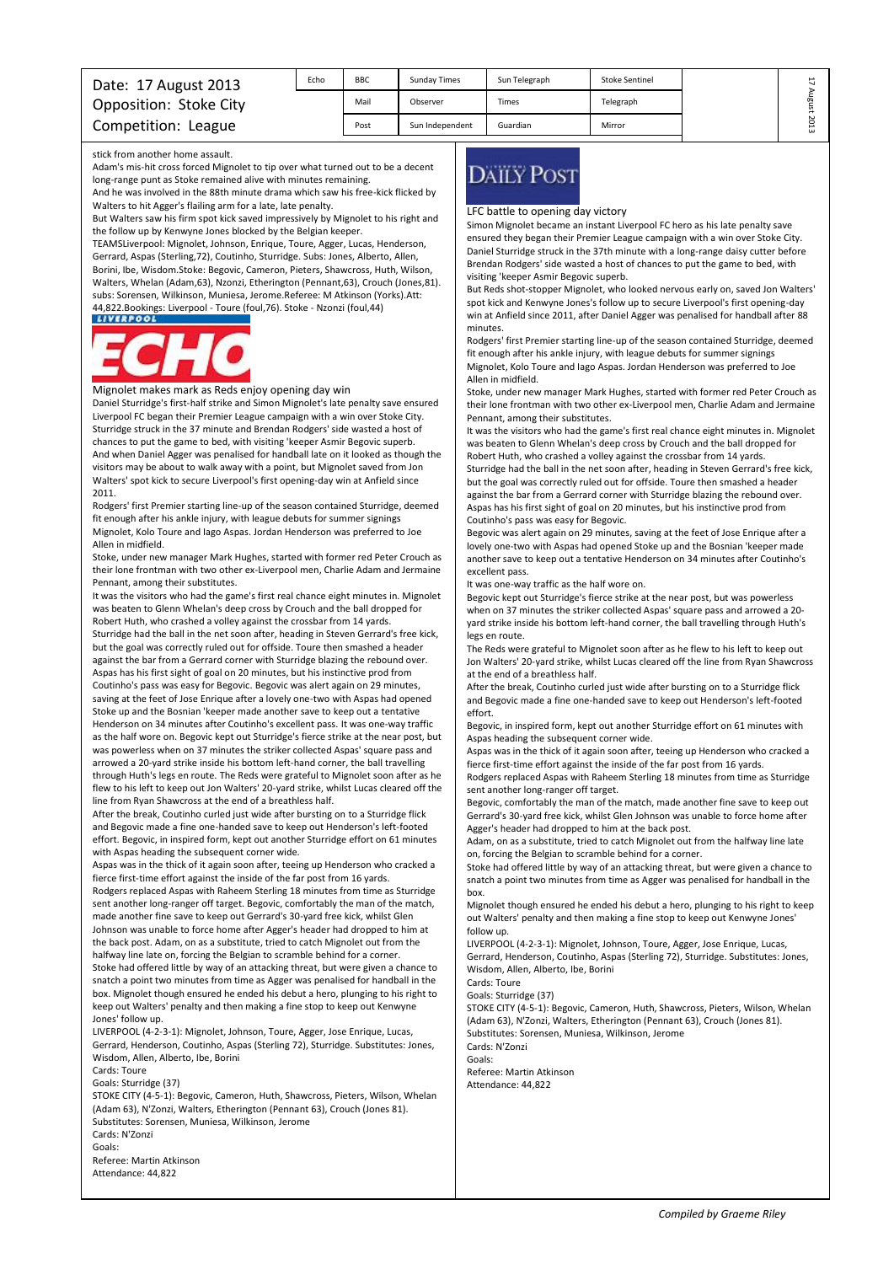| Date: 17 August 2013          | Echo | <b>BBC</b> | Sunday Times    | Sun Telegraph | <b>Stoke Sentinel</b> |               |
|-------------------------------|------|------------|-----------------|---------------|-----------------------|---------------|
| <b>Opposition: Stoke City</b> |      | Mail       | Observer        | <b>Times</b>  | Telegraph             |               |
| Competition: League           |      | Post       | Sun Independent | Guardian      | Mirror                | ⊵<br>$\omega$ |

## stick from another home assault.

Adam's mis-hit cross forced Mignolet to tip over what turned out to be a decent long-range punt as Stoke remained alive with minutes remaining.

And he was involved in the 88th minute drama which saw his free-kick flicked by Walters to hit Agger's flailing arm for a late, late penalty.

But Walters saw his firm spot kick saved impressively by Mignolet to his right and the follow up by Kenwyne Jones blocked by the Belgian keeper.

TEAMSLiverpool: Mignolet, Johnson, Enrique, Toure, Agger, Lucas, Henderson, Gerrard, Aspas (Sterling,72), Coutinho, Sturridge. Subs: Jones, Alberto, Allen, Borini, Ibe, Wisdom.Stoke: Begovic, Cameron, Pieters, Shawcross, Huth, Wilson, Walters, Whelan (Adam,63), Nzonzi, Etherington (Pennant,63), Crouch (Jones,81). subs: Sorensen, Wilkinson, Muniesa, Jerome.Referee: M Atkinson (Yorks).Att: 44,822.Bookings: Liverpool - Toure (foul,76). Stoke - Nzonzi (foul,44)

Mignolet makes mark as Reds enjoy opening day win Daniel Sturridge's first-half strike and Simon Mignolet's late penalty save ensured Liverpool FC began their Premier League campaign with a win over Stoke City. Sturridge struck in the 37 minute and Brendan Rodgers' side wasted a host of chances to put the game to bed, with visiting 'keeper Asmir Begovic superb. And when Daniel Agger was penalised for handball late on it looked as though the visitors may be about to walk away with a point, but Mignolet saved from Jon Walters' spot kick to secure Liverpool's first opening-day win at Anfield since 2011.

Rodgers' first Premier starting line-up of the season contained Sturridge, deemed fit enough after his ankle injury, with league debuts for summer signings Mignolet, Kolo Toure and Iago Aspas. Jordan Henderson was preferred to Joe Allen in midfield.

Stoke, under new manager Mark Hughes, started with former red Peter Crouch as their lone frontman with two other ex-Liverpool men, Charlie Adam and Jermaine Pennant, among their substitutes.

It was the visitors who had the game's first real chance eight minutes in. Mignolet was beaten to Glenn Whelan's deep cross by Crouch and the ball dropped for Robert Huth, who crashed a volley against the crossbar from 14 yards.

Sturridge had the ball in the net soon after, heading in Steven Gerrard's free kick, but the goal was correctly ruled out for offside. Toure then smashed a header against the bar from a Gerrard corner with Sturridge blazing the rebound over. Aspas has his first sight of goal on 20 minutes, but his instinctive prod from Coutinho's pass was easy for Begovic. Begovic was alert again on 29 minutes, saving at the feet of Jose Enrique after a lovely one-two with Aspas had opened Stoke up and the Bosnian 'keeper made another save to keep out a tentative Henderson on 34 minutes after Coutinho's excellent pass. It was one-way traffic as the half wore on. Begovic kept out Sturridge's fierce strike at the near post, but was powerless when on 37 minutes the striker collected Aspas' square pass and arrowed a 20-yard strike inside his bottom left-hand corner, the ball travelling through Huth's legs en route. The Reds were grateful to Mignolet soon after as he flew to his left to keep out Jon Walters' 20-yard strike, whilst Lucas cleared off the line from Ryan Shawcross at the end of a breathless half.

After the break, Coutinho curled just wide after bursting on to a Sturridge flick and Begovic made a fine one-handed save to keep out Henderson's left-footed effort. Begovic, in inspired form, kept out another Sturridge effort on 61 minutes with Aspas heading the subsequent corner wide.

Aspas was in the thick of it again soon after, teeing up Henderson who cracked a fierce first-time effort against the inside of the far post from 16 yards. Rodgers replaced Aspas with Raheem Sterling 18 minutes from time as Sturridge sent another long-ranger off target. Begovic, comfortably the man of the match, made another fine save to keep out Gerrard's 30-yard free kick, whilst Glen Johnson was unable to force home after Agger's header had dropped to him at the back post. Adam, on as a substitute, tried to catch Mignolet out from the halfway line late on, forcing the Belgian to scramble behind for a corner. Stoke had offered little by way of an attacking threat, but were given a chance to snatch a point two minutes from time as Agger was penalised for handball in the box. Mignolet though ensured he ended his debut a hero, plunging to his right to keep out Walters' penalty and then making a fine stop to keep out Kenwyne Jones' follow up. LIVERPOOL (4-2-3-1): Mignolet, Johnson, Toure, Agger, Jose Enrique, Lucas,

Gerrard, Henderson, Coutinho, Aspas (Sterling 72), Sturridge. Substitutes: Jones, Wisdom, Allen, Alberto, Ibe, Borini Cards: Toure

Goals: Sturridge (37)

STOKE CITY (4-5-1): Begovic, Cameron, Huth, Shawcross, Pieters, Wilson, Whelan (Adam 63), N'Zonzi, Walters, Etherington (Pennant 63), Crouch (Jones 81). Substitutes: Sorensen, Muniesa, Wilkinson, Jerome Cards: N'Zonzi Goals: Referee: Martin Atkinson Attendance: 44,822

## **DAILY POST**

## LFC battle to opening day victory

Simon Mignolet became an instant Liverpool FC hero as his late penalty save ensured they began their Premier League campaign with a win over Stoke City. Daniel Sturridge struck in the 37th minute with a long-range daisy cutter before Brendan Rodgers' side wasted a host of chances to put the game to bed, with visiting 'keeper Asmir Begovic superb.

But Reds shot-stopper Mignolet, who looked nervous early on, saved Jon Walters' spot kick and Kenwyne Jones's follow up to secure Liverpool's first opening-day win at Anfield since 2011, after Daniel Agger was penalised for handball after 88 minutes.

Rodgers' first Premier starting line-up of the season contained Sturridge, deemed fit enough after his ankle injury, with league debuts for summer signings Mignolet, Kolo Toure and Iago Aspas. Jordan Henderson was preferred to Joe Allen in midfield.

Stoke, under new manager Mark Hughes, started with former red Peter Crouch as their lone frontman with two other ex-Liverpool men, Charlie Adam and Jermaine Pennant, among their substitutes.

It was the visitors who had the game's first real chance eight minutes in. Mignolet was beaten to Glenn Whelan's deep cross by Crouch and the ball dropped for Robert Huth, who crashed a volley against the crossbar from 14 yards. Sturridge had the ball in the net soon after, heading in Steven Gerrard's free kick, but the goal was correctly ruled out for offside. Toure then smashed a header against the bar from a Gerrard corner with Sturridge blazing the rebound over.

Aspas has his first sight of goal on 20 minutes, but his instinctive prod from Coutinho's pass was easy for Begovic. Begovic was alert again on 29 minutes, saving at the feet of Jose Enrique after a

lovely one-two with Aspas had opened Stoke up and the Bosnian 'keeper made another save to keep out a tentative Henderson on 34 minutes after Coutinho's excellent pass.

It was one-way traffic as the half wore on.

Begovic kept out Sturridge's fierce strike at the near post, but was powerless when on 37 minutes the striker collected Aspas' square pass and arrowed a 20 yard strike inside his bottom left-hand corner, the ball travelling through Huth's legs en route.

The Reds were grateful to Mignolet soon after as he flew to his left to keep out Jon Walters' 20-yard strike, whilst Lucas cleared off the line from Ryan Shawcross at the end of a breathless half.

After the break, Coutinho curled just wide after bursting on to a Sturridge flick and Begovic made a fine one-handed save to keep out Henderson's left-footed effort.

Begovic, in inspired form, kept out another Sturridge effort on 61 minutes with Aspas heading the subsequent corner wide.

Aspas was in the thick of it again soon after, teeing up Henderson who cracked a fierce first-time effort against the inside of the far post from 16 yards.

Rodgers replaced Aspas with Raheem Sterling 18 minutes from time as Sturridge sent another long-ranger off target.

Begovic, comfortably the man of the match, made another fine save to keep out Gerrard's 30-yard free kick, whilst Glen Johnson was unable to force home after Agger's header had dropped to him at the back post.

Adam, on as a substitute, tried to catch Mignolet out from the halfway line late on, forcing the Belgian to scramble behind for a corner.

Stoke had offered little by way of an attacking threat, but were given a chance to snatch a point two minutes from time as Agger was penalised for handball in the box.

Mignolet though ensured he ended his debut a hero, plunging to his right to keep out Walters' penalty and then making a fine stop to keep out Kenwyne Jones' follow up.

LIVERPOOL (4-2-3-1): Mignolet, Johnson, Toure, Agger, Jose Enrique, Lucas, Gerrard, Henderson, Coutinho, Aspas (Sterling 72), Sturridge. Substitutes: Jones, Wisdom, Allen, Alberto, Ibe, Borini

Cards: Toure

Goals: Sturridge (37)

STOKE CITY (4-5-1): Begovic, Cameron, Huth, Shawcross, Pieters, Wilson, Whelan (Adam 63), N'Zonzi, Walters, Etherington (Pennant 63), Crouch (Jones 81). Substitutes: Sorensen, Muniesa, Wilkinson, Jerome Cards: N'Zonzi

Goals:

Referee: Martin Atkinson Attendance: 44,822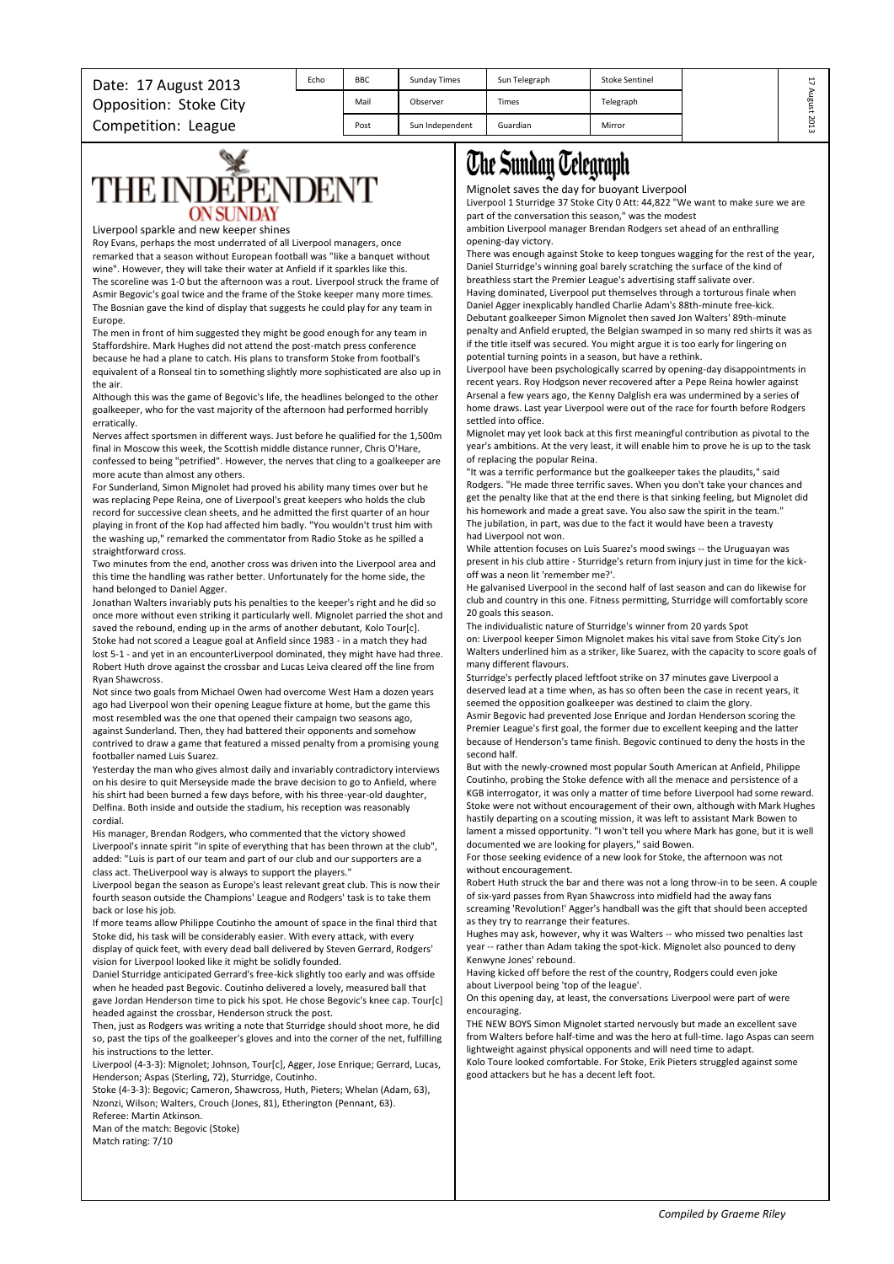| Date: 17 August 2013   | Echo | <b>BBC</b> | Sunday Times    | Sun Telegraph | <b>Stoke Sentinel</b> | ∸             |
|------------------------|------|------------|-----------------|---------------|-----------------------|---------------|
| Opposition: Stoke City |      | Mail       | Observer        | <b>Times</b>  | Telegraph             |               |
| Competition: League    |      | Post       | Sun Independent | Guardian      | Mirror                | δZ<br>⊷<br>سن |

# THE INDEPENDENT

Liverpool sparkle and new keeper shines

Roy Evans, perhaps the most underrated of all Liverpool managers, once remarked that a season without European football was "like a banquet without wine". However, they will take their water at Anfield if it sparkles like this. The scoreline was 1-0 but the afternoon was a rout. Liverpool struck the frame of Asmir Begovic's goal twice and the frame of the Stoke keeper many more times. The Bosnian gave the kind of display that suggests he could play for any team in Europe.

The men in front of him suggested they might be good enough for any team in Staffordshire. Mark Hughes did not attend the post-match press conference because he had a plane to catch. His plans to transform Stoke from football's equivalent of a Ronseal tin to something slightly more sophisticated are also up in the air.

Although this was the game of Begovic's life, the headlines belonged to the other goalkeeper, who for the vast majority of the afternoon had performed horribly erratically.

Nerves affect sportsmen in different ways. Just before he qualified for the 1,500m final in Moscow this week, the Scottish middle distance runner, Chris O'Hare, confessed to being "petrified". However, the nerves that cling to a goalkeeper are more acute than almost any others.

For Sunderland, Simon Mignolet had proved his ability many times over but he was replacing Pepe Reina, one of Liverpool's great keepers who holds the club record for successive clean sheets, and he admitted the first quarter of an hour playing in front of the Kop had affected him badly. "You wouldn't trust him with the washing up," remarked the commentator from Radio Stoke as he spilled a straightforward cross.

Two minutes from the end, another cross was driven into the Liverpool area and this time the handling was rather better. Unfortunately for the home side, the hand belonged to Daniel Agger.

Jonathan Walters invariably puts his penalties to the keeper's right and he did so once more without even striking it particularly well. Mignolet parried the shot and saved the rebound, ending up in the arms of another debutant, Kolo Tour[c].

Stoke had not scored a League goal at Anfield since 1983 - in a match they had lost 5-1 - and yet in an encounterLiverpool dominated, they might have had three. Robert Huth drove against the crossbar and Lucas Leiva cleared off the line from Ryan Shawcross.

Not since two goals from Michael Owen had overcome West Ham a dozen years ago had Liverpool won their opening League fixture at home, but the game this most resembled was the one that opened their campaign two seasons ago, against Sunderland. Then, they had battered their opponents and somehow contrived to draw a game that featured a missed penalty from a promising young footballer named Luis Suarez.

Yesterday the man who gives almost daily and invariably contradictory interviews on his desire to quit Merseyside made the brave decision to go to Anfield, where his shirt had been burned a few days before, with his three-year-old daughter, Delfina. Both inside and outside the stadium, his reception was reasonably cordial.

His manager, Brendan Rodgers, who commented that the victory showed Liverpool's innate spirit "in spite of everything that has been thrown at the club", added: "Luis is part of our team and part of our club and our supporters are a class act. TheLiverpool way is always to support the players."

Liverpool began the season as Europe's least relevant great club. This is now their fourth season outside the Champions' League and Rodgers' task is to take them back or lose his job.

If more teams allow Philippe Coutinho the amount of space in the final third that Stoke did, his task will be considerably easier. With every attack, with every display of quick feet, with every dead ball delivered by Steven Gerrard, Rodgers' vision for Liverpool looked like it might be solidly founded.

Daniel Sturridge anticipated Gerrard's free-kick slightly too early and was offside when he headed past Begovic. Coutinho delivered a lovely, measured ball that gave Jordan Henderson time to pick his spot. He chose Begovic's knee cap. Tour[c] headed against the crossbar, Henderson struck the post.

Then, just as Rodgers was writing a note that Sturridge should shoot more, he did so, past the tips of the goalkeeper's gloves and into the corner of the net, fulfilling his instructions to the letter.

Liverpool (4-3-3): Mignolet; Johnson, Tour[c], Agger, Jose Enrique; Gerrard, Lucas, Henderson; Aspas (Sterling, 72), Sturridge, Coutinho.

Stoke (4-3-3): Begovic; Cameron, Shawcross, Huth, Pieters; Whelan (Adam, 63), Nzonzi, Wilson; Walters, Crouch (Jones, 81), Etherington (Pennant, 63).

Referee: Martin Atkinson. Man of the match: Begovic (Stoke)

Match rating: 7/10

# **The Sunday Telegraph**

Mignolet saves the day for buoyant Liverpool

Liverpool 1 Sturridge 37 Stoke City 0 Att: 44,822 "We want to make sure we are part of the conversation this season," was the modest

ambition Liverpool manager Brendan Rodgers set ahead of an enthralling opening-day victory.

There was enough against Stoke to keep tongues wagging for the rest of the year, Daniel Sturridge's winning goal barely scratching the surface of the kind of breathless start the Premier League's advertising staff salivate over.

Having dominated, Liverpool put themselves through a torturous finale when Daniel Agger inexplicably handled Charlie Adam's 88th-minute free-kick. Debutant goalkeeper Simon Mignolet then saved Jon Walters' 89th-minute penalty and Anfield erupted, the Belgian swamped in so many red shirts it was as if the title itself was secured. You might argue it is too early for lingering on potential turning points in a season, but have a rethink.

Liverpool have been psychologically scarred by opening-day disappointments in recent years. Roy Hodgson never recovered after a Pepe Reina howler against Arsenal a few years ago, the Kenny Dalglish era was undermined by a series of home draws. Last year Liverpool were out of the race for fourth before Rodgers settled into office.

Mignolet may yet look back at this first meaningful contribution as pivotal to the year's ambitions. At the very least, it will enable him to prove he is up to the task of replacing the popular Reina.

"It was a terrific performance but the goalkeeper takes the plaudits," said Rodgers. "He made three terrific saves. When you don't take your chances and get the penalty like that at the end there is that sinking feeling, but Mignolet did his homework and made a great save. You also saw the spirit in the team." The jubilation, in part, was due to the fact it would have been a travesty had Liverpool not won.

While attention focuses on Luis Suarez's mood swings -- the Uruguayan was present in his club attire - Sturridge's return from injury just in time for the kickoff was a neon lit 'remember me?'.

He galvanised Liverpool in the second half of last season and can do likewise for club and country in this one. Fitness permitting, Sturridge will comfortably score 20 goals this season.

The individualistic nature of Sturridge's winner from 20 yards Spot

on: Liverpool keeper Simon Mignolet makes his vital save from Stoke City's Jon Walters underlined him as a striker, like Suarez, with the capacity to score goals of many different flavours.

Sturridge's perfectly placed leftfoot strike on 37 minutes gave Liverpool a deserved lead at a time when, as has so often been the case in recent years, it seemed the opposition goalkeeper was destined to claim the glory.

Asmir Begovic had prevented Jose Enrique and Jordan Henderson scoring the Premier League's first goal, the former due to excellent keeping and the latter because of Henderson's tame finish. Begovic continued to deny the hosts in the second half.

But with the newly-crowned most popular South American at Anfield, Philippe Coutinho, probing the Stoke defence with all the menace and persistence of a KGB interrogator, it was only a matter of time before Liverpool had some reward. Stoke were not without encouragement of their own, although with Mark Hughes hastily departing on a scouting mission, it was left to assistant Mark Bowen to lament a missed opportunity. "I won't tell you where Mark has gone, but it is well documented we are looking for players," said Bowen.

For those seeking evidence of a new look for Stoke, the afternoon was not without encouragement.

Robert Huth struck the bar and there was not a long throw-in to be seen. A couple of six-yard passes from Ryan Shawcross into midfield had the away fans screaming 'Revolution!' Agger's handball was the gift that should been accepted as they try to rearrange their features.

Hughes may ask, however, why it was Walters -- who missed two penalties last year -- rather than Adam taking the spot-kick. Mignolet also pounced to deny .<br>Kenwyne Jones' rebound.

Having kicked off before the rest of the country, Rodgers could even joke

about Liverpool being 'top of the league'. On this opening day, at least, the conversations Liverpool were part of were encouraging.

THE NEW BOYS Simon Mignolet started nervously but made an excellent save from Walters before half-time and was the hero at full-time. Iago Aspas can seem lightweight against physical opponents and will need time to adapt.

Kolo Toure looked comfortable. For Stoke, Erik Pieters struggled against some good attackers but he has a decent left foot.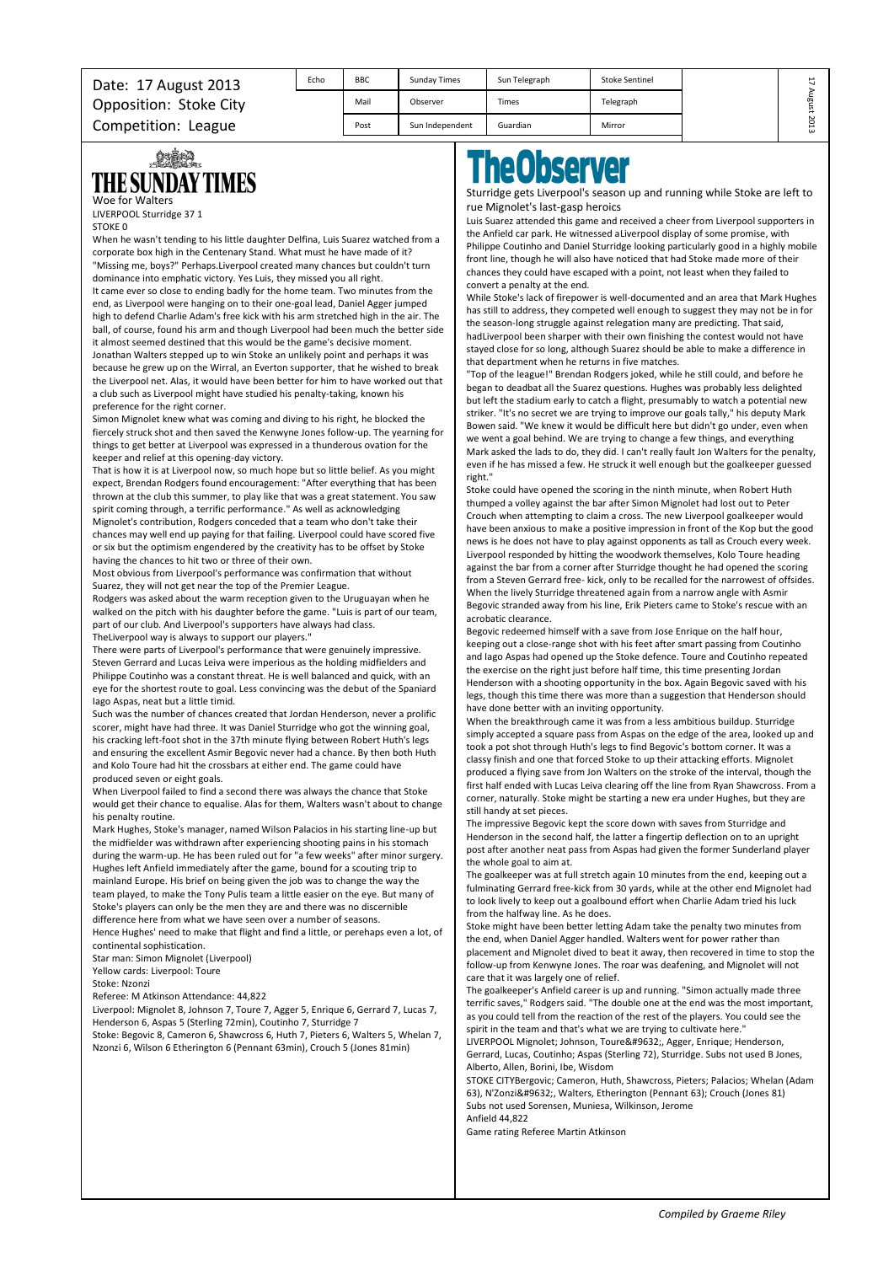| Date: 17 August 2013          | Echo | <b>BBC</b> | Sunday Times    | Sun Telegraph | <b>Stoke Sentinel</b> |               |
|-------------------------------|------|------------|-----------------|---------------|-----------------------|---------------|
| <b>Opposition: Stoke City</b> |      | Mail       | Observer        | <b>Times</b>  | Telegraph             |               |
| Competition: League           |      | Post       | Sun Independent | Guardian      | Mirror                | ⊵<br>$\omega$ |

## **ASSET THE SUNDAY TIMES** Woe for Walters

LIVERPOOL Sturridge 37 1

STOKE<sub>0</sub>

When he wasn't tending to his little daughter Delfina, Luis Suarez watched from a corporate box high in the Centenary Stand. What must he have made of it? "Missing me, boys?" Perhaps.Liverpool created many chances but couldn't turn dominance into emphatic victory. Yes Luis, they missed you all right.

It came ever so close to ending badly for the home team. Two minutes from the end, as Liverpool were hanging on to their one-goal lead, Daniel Agger jumped high to defend Charlie Adam's free kick with his arm stretched high in the air. The ball, of course, found his arm and though Liverpool had been much the better side it almost seemed destined that this would be the game's decisive moment. Jonathan Walters stepped up to win Stoke an unlikely point and perhaps it was because he grew up on the Wirral, an Everton supporter, that he wished to break the Liverpool net. Alas, it would have been better for him to have worked out that a club such as Liverpool might have studied his penalty-taking, known his preference for the right corner.

Simon Mignolet knew what was coming and diving to his right, he blocked the fiercely struck shot and then saved the Kenwyne Jones follow-up. The yearning for things to get better at Liverpool was expressed in a thunderous ovation for the keeper and relief at this opening-day victory.

That is how it is at Liverpool now, so much hope but so little belief. As you might expect, Brendan Rodgers found encouragement: "After everything that has been thrown at the club this summer, to play like that was a great statement. You saw spirit coming through, a terrific performance." As well as acknowledging Mignolet's contribution, Rodgers conceded that a team who don't take their chances may well end up paying for that failing. Liverpool could have scored five or six but the optimism engendered by the creativity has to be offset by Stoke having the chances to hit two or three of their own.

Most obvious from Liverpool's performance was confirmation that without Suarez, they will not get near the top of the Premier League.

Rodgers was asked about the warm reception given to the Uruguayan when he walked on the pitch with his daughter before the game. "Luis is part of our team, part of our club. And Liverpool's supporters have always had class. TheLiverpool way is always to support our players."

There were parts of Liverpool's performance that were genuinely impressive. Steven Gerrard and Lucas Leiva were imperious as the holding midfielders and Philippe Coutinho was a constant threat. He is well balanced and quick, with an eye for the shortest route to goal. Less convincing was the debut of the Spaniard Iago Aspas, neat but a little timid.

Such was the number of chances created that Jordan Henderson, never a prolific scorer, might have had three. It was Daniel Sturridge who got the winning goal, his cracking left-foot shot in the 37th minute flying between Robert Huth's legs and ensuring the excellent Asmir Begovic never had a chance. By then both Huth and Kolo Toure had hit the crossbars at either end. The game could have produced seven or eight goals.

When Liverpool failed to find a second there was always the chance that Stoke would get their chance to equalise. Alas for them, Walters wasn't about to change his penalty routine.

Mark Hughes, Stoke's manager, named Wilson Palacios in his starting line-up but the midfielder was withdrawn after experiencing shooting pains in his stomach during the warm-up. He has been ruled out for "a few weeks" after minor surgery. Hughes left Anfield immediately after the game, bound for a scouting trip to mainland Europe. His brief on being given the job was to change the way the team played, to make the Tony Pulis team a little easier on the eye. But many of Stoke's players can only be the men they are and there was no discernible difference here from what we have seen over a number of seasons.

Hence Hughes' need to make that flight and find a little, or perehaps even a lot, of continental sophistication.

Star man: Simon Mignolet (Liverpool)

Yellow cards: Liverpool: Toure

Stoke: Nzonzi

Referee: M Atkinson Attendance: 44,822

Liverpool: Mignolet 8, Johnson 7, Toure 7, Agger 5, Enrique 6, Gerrard 7, Lucas 7, Henderson 6, Aspas 5 (Sterling 72min), Coutinho 7, Sturridge 7

Stoke: Begovic 8, Cameron 6, Shawcross 6, Huth 7, Pieters 6, Walters 5, Whelan 7, Nzonzi 6, Wilson 6 Etherington 6 (Pennant 63min), Crouch 5 (Jones 81min)

# **TheObserver**

Sturridge gets Liverpool's season up and running while Stoke are left to rue Mignolet's last-gasp heroics

Luis Suarez attended this game and received a cheer from Liverpool supporters in the Anfield car park. He witnessed aLiverpool display of some promise, with Philippe Coutinho and Daniel Sturridge looking particularly good in a highly mobile front line, though he will also have noticed that had Stoke made more of their chances they could have escaped with a point, not least when they failed to convert a penalty at the end.

While Stoke's lack of firepower is well-documented and an area that Mark Hughes has still to address, they competed well enough to suggest they may not be in for the season-long struggle against relegation many are predicting. That said, hadLiverpool been sharper with their own finishing the contest would not have stayed close for so long, although Suarez should be able to make a difference in that department when he returns in five matches.

"Top of the league!" Brendan Rodgers joked, while he still could, and before he began to deadbat all the Suarez questions. Hughes was probably less delighted but left the stadium early to catch a flight, presumably to watch a potential new striker. "It's no secret we are trying to improve our goals tally," his deputy Mark Bowen said. "We knew it would be difficult here but didn't go under, even when we went a goal behind. We are trying to change a few things, and everything Mark asked the lads to do, they did. I can't really fault Jon Walters for the penalty, even if he has missed a few. He struck it well enough but the goalkeeper guessed right<sup>1</sup>

Stoke could have opened the scoring in the ninth minute, when Robert Huth thumped a volley against the bar after Simon Mignolet had lost out to Peter Crouch when attempting to claim a cross. The new Liverpool goalkeeper would have been anxious to make a positive impression in front of the Kop but the good news is he does not have to play against opponents as tall as Crouch every week. Liverpool responded by hitting the woodwork themselves, Kolo Toure heading against the bar from a corner after Sturridge thought he had opened the scoring from a Steven Gerrard free- kick, only to be recalled for the narrowest of offsides. When the lively Sturridge threatened again from a narrow angle with Asmir Begovic stranded away from his line, Erik Pieters came to Stoke's rescue with an acrobatic clearance.

Begovic redeemed himself with a save from Jose Enrique on the half hour, keeping out a close-range shot with his feet after smart passing from Coutinho and Iago Aspas had opened up the Stoke defence. Toure and Coutinho repeated the exercise on the right just before half time, this time presenting Jordan Henderson with a shooting opportunity in the box. Again Begovic saved with his legs, though this time there was more than a suggestion that Henderson should have done better with an inviting opportunity.

When the breakthrough came it was from a less ambitious buildup. Sturridge simply accepted a square pass from Aspas on the edge of the area, looked up and took a pot shot through Huth's legs to find Begovic's bottom corner. It was a classy finish and one that forced Stoke to up their attacking efforts. Mignolet produced a flying save from Jon Walters on the stroke of the interval, though the first half ended with Lucas Leiva clearing off the line from Ryan Shawcross. From a corner, naturally. Stoke might be starting a new era under Hughes, but they are still handy at set pieces.

The impressive Begovic kept the score down with saves from Sturridge and Henderson in the second half, the latter a fingertip deflection on to an upright post after another neat pass from Aspas had given the former Sunderland player the whole goal to aim at.

The goalkeeper was at full stretch again 10 minutes from the end, keeping out a fulminating Gerrard free-kick from 30 yards, while at the other end Mignolet had to look lively to keep out a goalbound effort when Charlie Adam tried his luck from the halfway line. As he does.

Stoke might have been better letting Adam take the penalty two minutes from the end, when Daniel Agger handled. Walters went for power rather than placement and Mignolet dived to beat it away, then recovered in time to stop the follow-up from Kenwyne Jones. The roar was deafening, and Mignolet will not care that it was largely one of relief.

The goalkeeper's Anfield career is up and running. "Simon actually made three terrific saves," Rodgers said. "The double one at the end was the most important, as you could tell from the reaction of the rest of the players. You could see the spirit in the team and that's what we are trying to cultivate here.

LIVERPOOL Mignolet; Johnson, Toure■, Agger, Enrique; Henderson, Gerrard, Lucas, Coutinho; Aspas (Sterling 72), Sturridge. Subs not used B Jones, Alberto, Allen, Borini, Ibe, Wisdom

STOKE CITYBergovic; Cameron, Huth, Shawcross, Pieters; Palacios; Whelan (Adam 63), N'Zonzi■, Walters, Etherington (Pennant 63); Crouch (Jones 81) Subs not used Sorensen, Muniesa, Wilkinson, Jerome Anfield 44,822

Game rating Referee Martin Atkinson

*Compiled by Graeme Riley*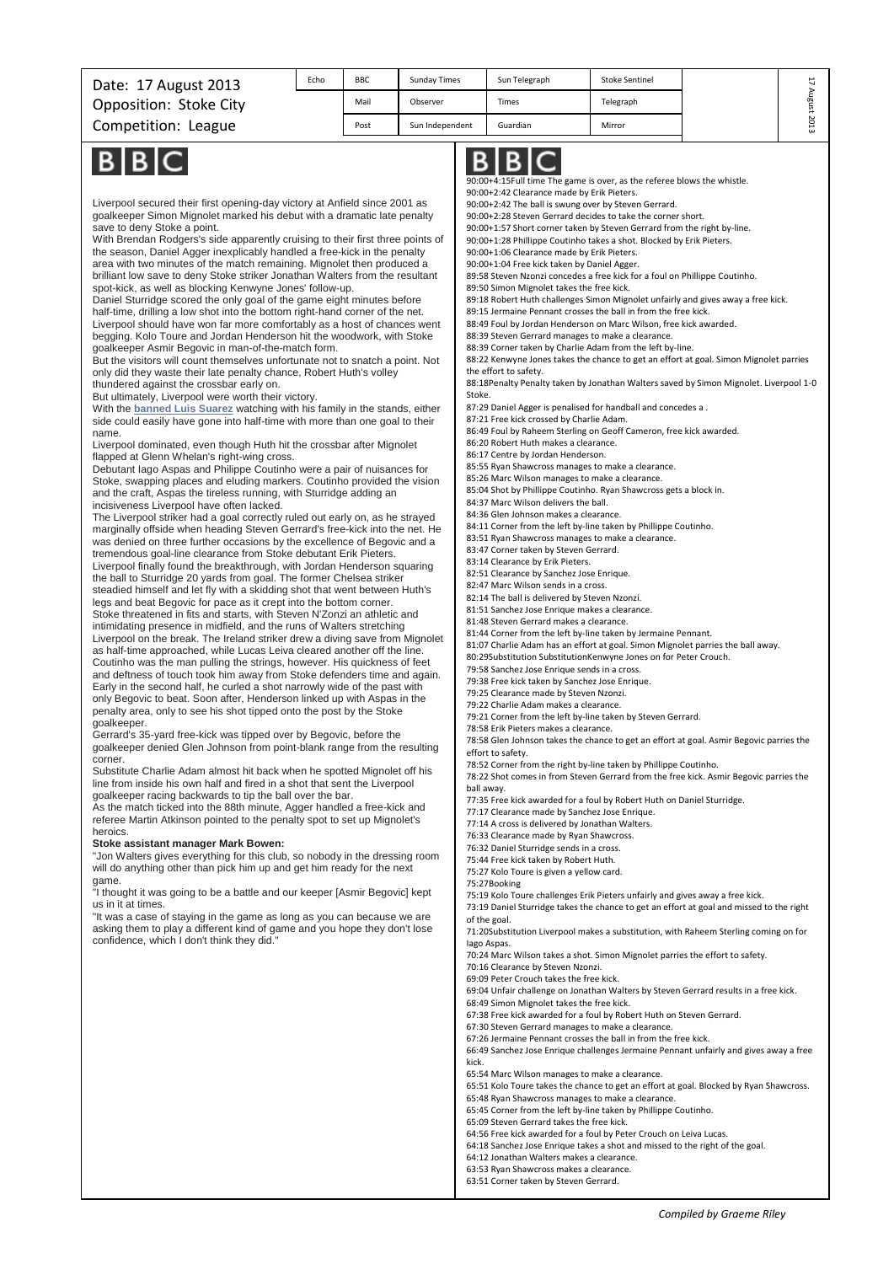| Date: 17 August 2013          | Echo | BBC          | Sunday Times |
|-------------------------------|------|--------------|--------------|
| <b>Opposition: Stoke City</b> | Mail | Observer     |              |
| Competition: League           | Post | Sun Independ |              |



Sun Telegraph

Stoke Sentinel

Mirror

# **BIBIC**

name.

goalkeeper.

corner.

heroics.

game.

us in it at times.

 $B|C$ 0:00+4:15Full time The game is over, as the referee blows the whistle. 90:00+2:42 Clearance made by Erik Pieters. Liverpool secured their first opening-day victory at Anfield since 2001 as 90:00+2:42 The ball is swung over by Steven Gerrard. goalkeeper Simon Mignolet marked his debut with a dramatic late penalty 90:00+2:28 Steven Gerrard decides to take the corner short. save to deny Stoke a point. 90:00+1:57 Short corner taken by Steven Gerrard from the right by-line. With Brendan Rodgers's side apparently cruising to their first three points of 90:00+1:28 Phillippe Coutinho takes a shot. Blocked by Erik Pieters. the season, Daniel Agger inexplicably handled a free-kick in the penalty 90:00+1:06 Clearance made by Erik Pieters. 90:00+1:04 Free kick taken by Daniel Agger. area with two minutes of the match remaining. Mignolet then produced a 89:58 Steven Nzonzi concedes a free kick for a foul on Phillippe Coutinho. brilliant low save to deny Stoke striker Jonathan Walters from the resultant spot-kick, as well as blocking Kenwyne Jones' follow-up. 89:50 Simon Mignolet takes the free kick. Daniel Sturridge scored the only goal of the game eight minutes before 89:18 Robert Huth challenges Simon Mignolet unfairly and gives away a free kick. half-time, drilling a low shot into the bottom right-hand corner of the net. 89:15 Jermaine Pennant crosses the ball in from the free kick. Liverpool should have won far more comfortably as a host of chances went 88:49 Foul by Jordan Henderson on Marc Wilson, free kick awarded. begging. Kolo Toure and Jordan Henderson hit the woodwork, with Stoke 88:39 Steven Gerrard manages to make a clearance. goalkeeper Asmir Begovic in man-of-the-match form. 88:39 Corner taken by Charlie Adam from the left by-line. 88:22 Kenwyne Jones takes the chance to get an effort at goal. Simon Mignolet parries But the visitors will count themselves unfortunate not to snatch a point. Not the effort to safety. only did they waste their late penalty chance, Robert Huth's volley thundered against the crossbar early on. 88:18Penalty Penalty taken by Jonathan Walters saved by Simon Mignolet. Liverpool 1-0 But ultimately, Liverpool were worth their victory. Stoke. With the **[banned Luis Suarez](http://www.bbc.co.uk/sport/0/football/22311774)** watching with his family in the stands, either 87:29 Daniel Agger is penalised for handball and concedes a . side could easily have gone into half-time with more than one goal to their 87:21 Free kick crossed by Charlie Adam. 86:49 Foul by Raheem Sterling on Geoff Cameron, free kick awarded. 86:20 Robert Huth makes a clearance. Liverpool dominated, even though Huth hit the crossbar after Mignolet 86:17 Centre by Jordan Henderson. flapped at Glenn Whelan's right-wing cross. 85:55 Ryan Shawcross manages to make a clearance. Debutant Iago Aspas and Philippe Coutinho were a pair of nuisances for 85:26 Marc Wilson manages to make a clearance. Stoke, swapping places and eluding markers. Coutinho provided the vision 85:04 Shot by Phillippe Coutinho. Ryan Shawcross gets a block in. and the craft, Aspas the tireless running, with Sturridge adding an 84:37 Marc Wilson delivers the ball. incisiveness Liverpool have often lacked. 84:36 Glen Johnson makes a clearance. The Liverpool striker had a goal correctly ruled out early on, as he strayed 84:11 Corner from the left by-line taken by Phillippe Coutinho. marginally offside when heading Steven Gerrard's free-kick into the net. He 83:51 Ryan Shawcross manages to make a clearance was denied on three further occasions by the excellence of Begovic and a 83:47 Corner taken by Steven Gerrard. tremendous goal-line clearance from Stoke debutant Erik Pieters. 83:14 Clearance by Erik Pieters. Liverpool finally found the breakthrough, with Jordan Henderson squaring 82:51 Clearance by Sanchez Jose Enrique. the ball to Sturridge 20 yards from goal. The former Chelsea striker 82:47 Marc Wilson sends in a cross. steadied himself and let fly with a skidding shot that went between Huth's 82:14 The ball is delivered by Steven Nzonzi. legs and beat Begovic for pace as it crept into the bottom corner. 81:51 Sanchez Jose Enrique makes a clearance. Stoke threatened in fits and starts, with Steven N'Zonzi an athletic and 81:48 Steven Gerrard makes a clearance. intimidating presence in midfield, and the runs of Walters stretching 81:44 Corner from the left by-line taken by Jermaine Pennant. Liverpool on the break. The Ireland striker drew a diving save from Mignolet 81:07 Charlie Adam has an effort at goal. Simon Mignolet parries the ball away. as half-time approached, while Lucas Leiva cleared another off the line. 80:29Substitution SubstitutionKenwyne Jones on for Peter Crouch. Coutinho was the man pulling the strings, however. His quickness of feet 79:58 Sanchez Jose Enrique sends in a cross. and deftness of touch took him away from Stoke defenders time and again. 79:38 Free kick taken by Sanchez Jose Enrique. Early in the second half, he curled a shot narrowly wide of the past with 79:25 Clearance made by Steven Nzonzi. only Begovic to beat. Soon after, Henderson linked up with Aspas in the 79:22 Charlie Adam makes a clearance. penalty area, only to see his shot tipped onto the post by the Stoke 79:21 Corner from the left by-line taken by Steven Gerrard. 78:58 Erik Pieters makes a clearance. Gerrard's 35-yard free-kick was tipped over by Begovic, before the 78:58 Glen Johnson takes the chance to get an effort at goal. Asmir Begovic parries the goalkeeper denied Glen Johnson from point-blank range from the resulting effort to safety. 78:52 Corner from the right by-line taken by Phillippe Coutinho. Substitute Charlie Adam almost hit back when he spotted Mignolet off his 78:22 Shot comes in from Steven Gerrard from the free kick. Asmir Begovic parries the line from inside his own half and fired in a shot that sent the Liverpool ball away. goalkeeper racing backwards to tip the ball over the bar. 77:35 Free kick awarded for a foul by Robert Huth on Daniel Sturridge. As the match ticked into the 88th minute, Agger handled a free-kick and 77:17 Clearance made by Sanchez Jose Enrique. referee Martin Atkinson pointed to the penalty spot to set up Mignolet's 77:14 A cross is delivered by Jonathan Walters. 76:33 Clearance made by Ryan Shawcross. **Stoke assistant manager Mark Bowen:** 76:32 Daniel Sturridge sends in a cross. "Jon Walters gives everything for this club, so nobody in the dressing room 75:44 Free kick taken by Robert Huth. will do anything other than pick him up and get him ready for the next 75:27 Kolo Toure is given a yellow card. 75:27Booking "I thought it was going to be a battle and our keeper [Asmir Begovic] kept 75:19 Kolo Toure challenges Erik Pieters unfairly and gives away a free kick. 73:19 Daniel Sturridge takes the chance to get an effort at goal and missed to the right "It was a case of staying in the game as long as you can because we are of the goal. asking them to play a different kind of game and you hope they don't lose 71:20Substitution Liverpool makes a substitution, with Raheem Sterling coming on for confidence, which I don't think they did." Iago Aspas. 70:24 Marc Wilson takes a shot. Simon Mignolet parries the effort to safety. 70:16 Clearance by Steven Nzonzi. 69:09 Peter Crouch takes the free kick. 69:04 Unfair challenge on Jonathan Walters by Steven Gerrard results in a free kick. 68:49 Simon Mignolet takes the free kick. 67:38 Free kick awarded for a foul by Robert Huth on Steven Gerrard. 67:30 Steven Gerrard manages to make a clearance. 67:26 Jermaine Pennant crosses the ball in from the free kick. 66:49 Sanchez Jose Enrique challenges Jermaine Pennant unfairly and gives away a free kick. 65:54 Marc Wilson manages to make a clearance. 65:51 Kolo Toure takes the chance to get an effort at goal. Blocked by Ryan Shawcross. 65:48 Ryan Shawcross manages to make a clearance. 65:45 Corner from the left by-line taken by Phillippe Coutinho. 65:09 Steven Gerrard takes the free kick. 64:56 Free kick awarded for a foul by Peter Crouch on Leiva Lucas. 64:18 Sanchez Jose Enrique takes a shot and missed to the right of the goal.

64:12 Jonathan Walters makes a clearance. 63:53 Ryan Shawcross makes a clearance. 63:51 Corner taken by Steven Gerrard.

17 August 2013

 $\overline{L}$ August 201.